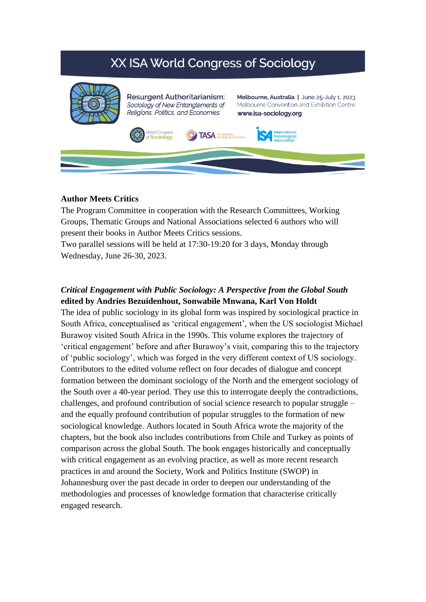# XX ISA World Congress of Sociology



#### **Author Meets Critics**

The Program Committee in cooperation with the Research Committees, Working Groups, Thematic Groups and National Associations selected 6 authors who will present their books in Author Meets Critics sessions.

Two parallel sessions will be held at 17:30-19:20 for 3 days, Monday through Wednesday, June 26-30, 2023.

# *Critical Engagement with Public Sociology: A Perspective from the Global South* **edited by Andries Bezuidenhout, Sonwabile Mnwana, Karl Von Holdt**

The idea of public sociology in its global form was inspired by sociological practice in South Africa, conceptualised as 'critical engagement', when the US sociologist Michael Burawoy visited South Africa in the 1990s. This volume explores the trajectory of 'critical engagement' before and after Burawoy's visit, comparing this to the trajectory of 'public sociology', which was forged in the very different context of US sociology. Contributors to the edited volume reflect on four decades of dialogue and concept formation between the dominant sociology of the North and the emergent sociology of the South over a 40-year period. They use this to interrogate deeply the contradictions, challenges, and profound contribution of social science research to popular struggle – and the equally profound contribution of popular struggles to the formation of new sociological knowledge. Authors located in South Africa wrote the majority of the chapters, but the book also includes contributions from Chile and Turkey as points of comparison across the global South. The book engages historically and conceptually with critical engagement as an evolving practice, as well as more recent research practices in and around the Society, Work and Politics Institute (SWOP) in Johannesburg over the past decade in order to deepen our understanding of the methodologies and processes of knowledge formation that characterise critically engaged research.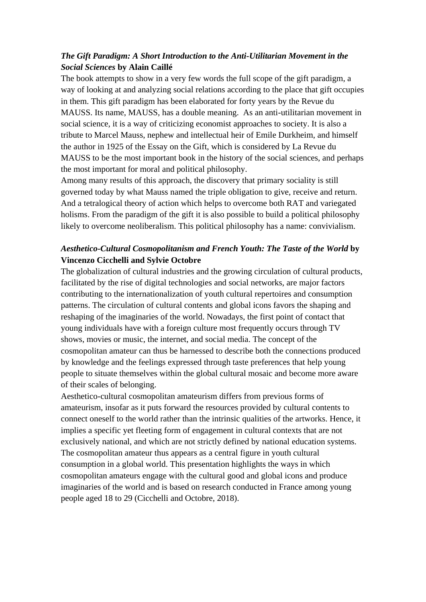# *The Gift Paradigm: A Short Introduction to the Anti-Utilitarian Movement in the Social Sciences* **by Alain Caillé**

The book attempts to show in a very few words the full scope of the gift paradigm, a way of looking at and analyzing social relations according to the place that gift occupies in them. This gift paradigm has been elaborated for forty years by the Revue du MAUSS. Its name, MAUSS, has a double meaning. As an anti-utilitarian movement in social science, it is a way of criticizing economist approaches to society. It is also a tribute to Marcel Mauss, nephew and intellectual heir of Emile Durkheim, and himself the author in 1925 of the Essay on the Gift, which is considered by La Revue du MAUSS to be the most important book in the history of the social sciences, and perhaps the most important for moral and political philosophy.

Among many results of this approach, the discovery that primary sociality is still governed today by what Mauss named the triple obligation to give, receive and return. And a tetralogical theory of action which helps to overcome both RAT and variegated holisms. From the paradigm of the gift it is also possible to build a political philosophy likely to overcome neoliberalism. This political philosophy has a name: convivialism.

# *Aesthetico-Cultural Cosmopolitanism and French Youth: The Taste of the World* **by Vincenzo Cicchelli and Sylvie Octobre**

The globalization of cultural industries and the growing circulation of cultural products, facilitated by the rise of digital technologies and social networks, are major factors contributing to the internationalization of youth cultural repertoires and consumption patterns. The circulation of cultural contents and global icons favors the shaping and reshaping of the imaginaries of the world. Nowadays, the first point of contact that young individuals have with a foreign culture most frequently occurs through TV shows, movies or music, the internet, and social media. The concept of the cosmopolitan amateur can thus be harnessed to describe both the connections produced by knowledge and the feelings expressed through taste preferences that help young people to situate themselves within the global cultural mosaic and become more aware of their scales of belonging.

Aesthetico-cultural cosmopolitan amateurism differs from previous forms of amateurism, insofar as it puts forward the resources provided by cultural contents to connect oneself to the world rather than the intrinsic qualities of the artworks. Hence, it implies a specific yet fleeting form of engagement in cultural contexts that are not exclusively national, and which are not strictly defined by national education systems. The cosmopolitan amateur thus appears as a central figure in youth cultural consumption in a global world. This presentation highlights the ways in which cosmopolitan amateurs engage with the cultural good and global icons and produce imaginaries of the world and is based on research conducted in France among young people aged 18 to 29 (Cicchelli and Octobre, 2018).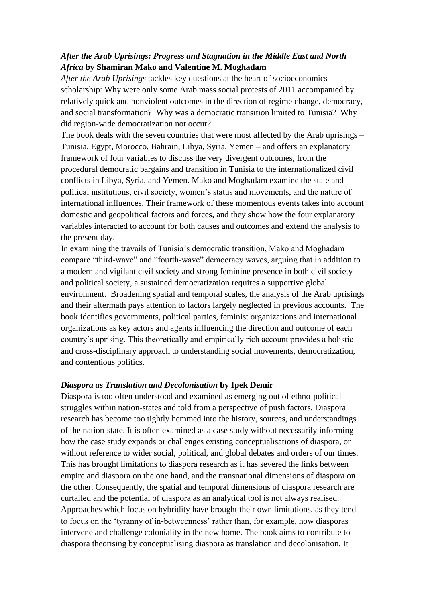## *After the Arab Uprisings: Progress and Stagnation in the Middle East and North Africa* **by Shamiran Mako and Valentine M. Moghadam**

*After the Arab Uprisings* tackles key questions at the heart of socioeconomics scholarship: Why were only some Arab mass social protests of 2011 accompanied by relatively quick and nonviolent outcomes in the direction of regime change, democracy, and social transformation? Why was a democratic transition limited to Tunisia? Why did region-wide democratization not occur?

The book deals with the seven countries that were most affected by the Arab uprisings – Tunisia, Egypt, Morocco, Bahrain, Libya, Syria, Yemen – and offers an explanatory framework of four variables to discuss the very divergent outcomes, from the procedural democratic bargains and transition in Tunisia to the internationalized civil conflicts in Libya, Syria, and Yemen. Mako and Moghadam examine the state and political institutions, civil society, women's status and movements, and the nature of international influences. Their framework of these momentous events takes into account domestic and geopolitical factors and forces, and they show how the four explanatory variables interacted to account for both causes and outcomes and extend the analysis to the present day.

In examining the travails of Tunisia's democratic transition, Mako and Moghadam compare "third-wave" and "fourth-wave" democracy waves, arguing that in addition to a modern and vigilant civil society and strong feminine presence in both civil society and political society, a sustained democratization requires a supportive global environment. Broadening spatial and temporal scales, the analysis of the Arab uprisings and their aftermath pays attention to factors largely neglected in previous accounts. The book identifies governments, political parties, feminist organizations and international organizations as key actors and agents influencing the direction and outcome of each country's uprising. This theoretically and empirically rich account provides a holistic and cross-disciplinary approach to understanding social movements, democratization, and contentious politics.

#### *Diaspora as Translation and Decolonisation* **by Ipek Demir**

Diaspora is too often understood and examined as emerging out of ethno-political struggles within nation-states and told from a perspective of push factors. Diaspora research has become too tightly hemmed into the history, sources, and understandings of the nation-state. It is often examined as a case study without necessarily informing how the case study expands or challenges existing conceptualisations of diaspora, or without reference to wider social, political, and global debates and orders of our times. This has brought limitations to diaspora research as it has severed the links between empire and diaspora on the one hand, and the transnational dimensions of diaspora on the other. Consequently, the spatial and temporal dimensions of diaspora research are curtailed and the potential of diaspora as an analytical tool is not always realised. Approaches which focus on hybridity have brought their own limitations, as they tend to focus on the 'tyranny of in-betweenness' rather than, for example, how diasporas intervene and challenge coloniality in the new home. The book aims to contribute to diaspora theorising by conceptualising diaspora as translation and decolonisation. It